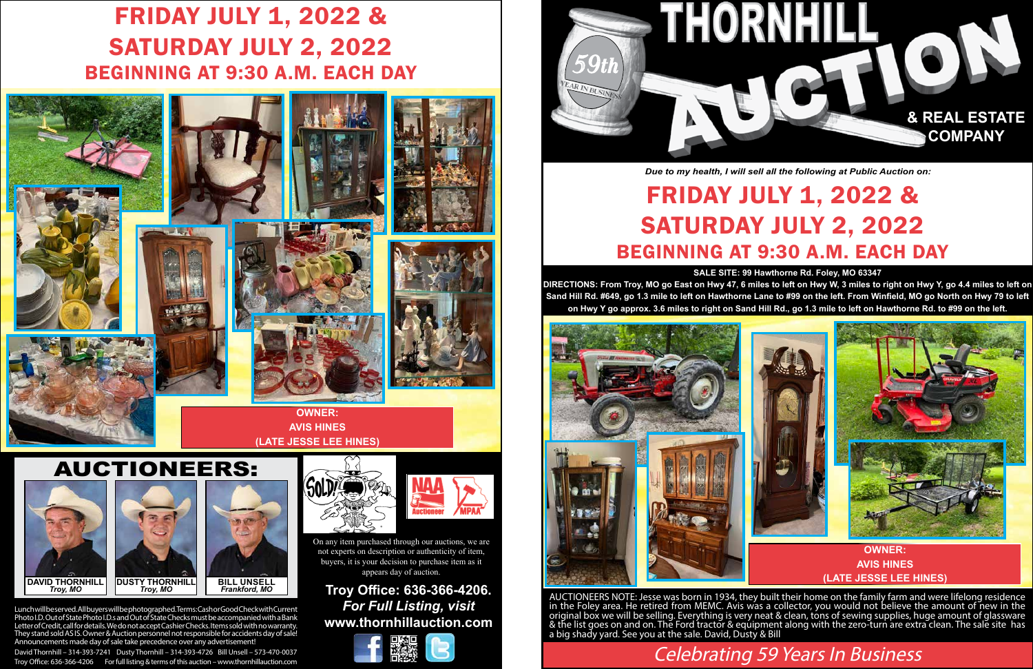## AUCTIONEERS:

Lunch will be served. All buyers will be photographed. Terms: Cash or Good Check with Current Photo I.D. Out of State Photo I.D.s and Out of State Checks must be accompanied with a Bank Letter of Credit, call for details. We do not accept Cashier Checks. Items sold with no warranty. They stand sold AS IS. Owner & Auction personnel not responsible for accidents day of sale! Announcements made day of sale take precedence over any advertisement

David Thornhill – 314-393-7241 Dusty Thornhill – 314-393-4726 Bill Unsell – 573-470-0037 Troy Office: 636-366-4206 For full listing & terms of this auction – www.thornhillauction.com

## **Troy Office: 636-366-4206.** *For Full Listing, visit* **www.thornhillauction.com**





Celebrating 59 Years In Business

#### **SALE SITE: 99 Hawthorne Rd. Foley, MO 63347**

**DIRECTIONS: From Troy, MO go East on Hwy 47, 6 miles to left on Hwy W, 3 miles to right on Hwy Y, go 4.4 miles to left on Sand Hill Rd. #649, go 1.3 mile to left on Hawthorne Lane to #99 on the left. From Winfield, MO go North on Hwy 79 to left on Hwy Y go approx. 3.6 miles to right on Sand Hill Rd., go 1.3 mile to left on Hawthorne Rd. to #99 on the left.**

# FRIDAY JULY 1, 2022 & SATURDAY JULY 2, 2022 BEGINNING AT 9:30 A.M. EACH DAY



AUCTIONEERS NOTE: Jesse was born in 1934, they built their home on the family farm and were lifelong residence in the Foley area. He retired from MEMC. Avis was a collector, you would not believe the amount of new in the original box we will be selling. Everything is very neat & clean, tons of sewing supplies, huge amount of glassware & the list goes on and on. The Ford tractor & equipment along with the zero-turn are extra clean. The sale site has a big shady yard. See you at the sale. David, Dusty & Bill



*Due to my health, I will sell all the following at Public Auction on:*

On any item purchased through our auctions, we are not experts on description or authenticity of item, buyers, it is your decision to purchase item as it appears day of auction.

# FRIDAY JULY 1, 2022 & SATURDAY JULY 2, 2022 BEGINNING AT 9:30 A.M. EACH DAY













# **(LATE JESSE LEE HINES)**

**OWNER: AVIS HINES (LATE JESSE LEE HINES)**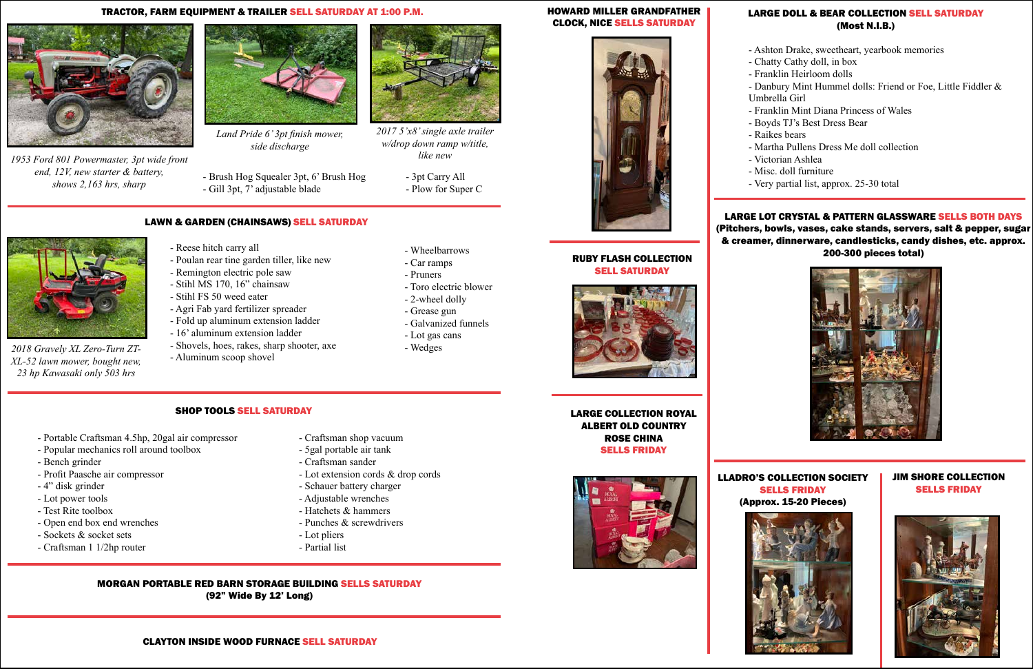

#### TRACTOR, FARM EQUIPMENT & TRAILER SELL SATURDAY AT 1:00 P.M. HOWARD MILLER GRANDFATHER



*1953 Ford 801 Powermaster, 3pt wide front end, 12V, new starter & battery, shows 2,163 hrs, sharp*



*Land Pride 6' 3pt finish mower, side discharge*

- Brush Hog Squealer 3pt, 6' Brush Hog - Gill 3pt, 7' adjustable blade

- 3pt Carry All
- Plow for Super C





*2017 5'x8' single axle trailer w/drop down ramp w/title, like new*

## LAWN & GARDEN (CHAINSAWS) SELL SATURDAY



*2018 Gravely XL Zero-Turn ZT-XL-52 lawn mower, bought new, 23 hp Kawasaki only 503 hrs*

- Reese hitch carry all

- Poulan rear tine garden tiller, like new

- Remington electric pole saw - Stihl MS 170, 16" chainsaw - Stihl FS 50 weed eater

- Agri Fab yard fertilizer spreader

- -
	-

- Fold up aluminum extension ladder - 16' aluminum extension ladder - Shovels, hoes, rakes, sharp shooter, axe

- Aluminum scoop shovel

- Car ramps
- 
- 
- 
- 

- Wheelbarrows
- 
- Toro electric blower
- 
- 
- 



- 2-wheel dolly

- - Grease gun
	- Galvanized funnels
	-
- 
- Lot gas cans
- Wedges

## SHOP TOOLS SELL SATURDAY

- Portable Craftsman 4.5hp, 20gal air compressor
- Popular mechanics roll around toolbox
- Bench grinder
- Profit Paasche air compressor
- 4" disk grinder
- Lot power tools
- Test Rite toolbox
- Open end box end wrenches
- Sockets & socket sets
- Craftsman 1 1/2hp router
- Craftsman shop vacuum
- 5gal portable air tank
- Craftsman sander
- Lot extension cords & drop cords
- Schauer battery charger
- Adjustable wrenches
- Hatchets & hammers
- Punches & screwdrivers
- Lot pliers
- Partial list
- MORGAN PORTABLE RED BARN STORAGE BUILDING SELLS SATURDAY (92" Wide By 12' Long)

#### LARGE DOLL & BEAR COLLECTION SELL SATURDAY (Most N.I.B.)

- Ashton Drake, sweetheart, yearbook memories - Chatty Cathy doll, in box - Franklin Heirloom dolls - Danbury Mint Hummel dolls: Friend or Foe, Little Fiddler & Umbrella Girl - Franklin Mint Diana Princess of Wales - Boyds TJ's Best Dress Bear - Raikes bears - Martha Pullens Dress Me doll collection - Victorian Ashlea - Misc. doll furniture - Very partial list, approx. 25-30 total

LARGE LOT CRYSTAL & PATTERN GLASSWARE SELLS BOTH DAYS (Pitchers, bowls, vases, cake stands, servers, salt & pepper, sugar & creamer, dinnerware, candlesticks, candy dishes, etc. approx. 200-300 pieces total) RUBY FLASH COLLECTION







LLADRO'S COLLECTION SOCIETY SELLS FRIDAY (Approx. 15-20 Pieces)

JIM SHORE COLLECTION SELLS FRIDAY



## LARGE COLLECTION ROYAL ALBERT OLD COUNTRY ROSE CHINA





# SELLS FRIDAY



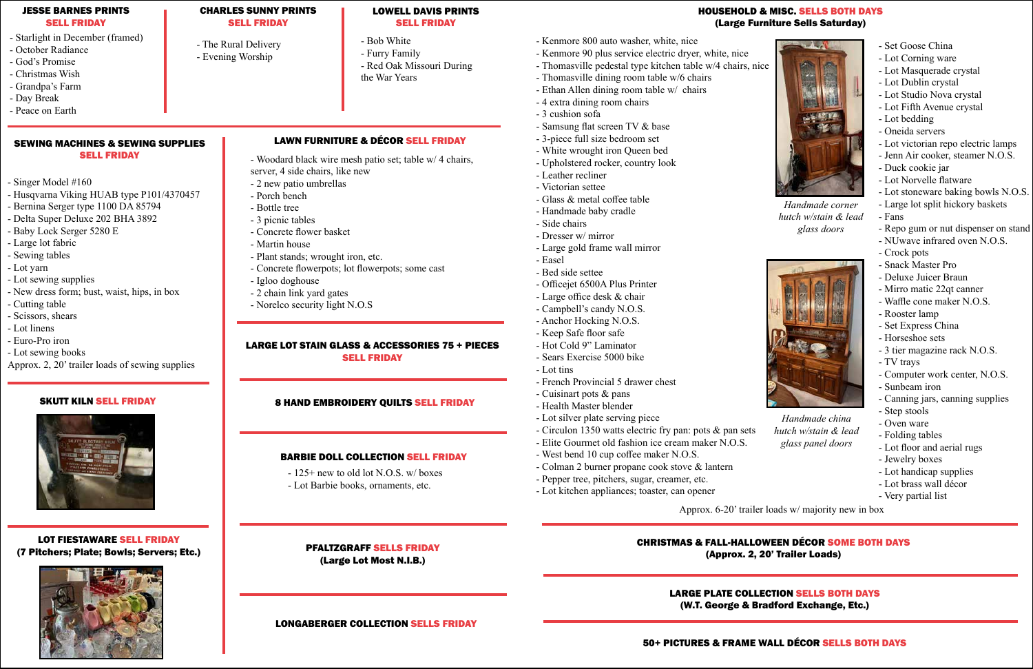## HOUSEHOLD & MISC. SELLS BOTH DAYS (Large Furniture Sells Saturday)



*Handmade corner hutch w/stain & lead glass doors*



*Handmade china hutch w/stain & lead glass panel doors*

- Kenmore 800 auto washer, white, nice
- Kenmore 90 plus service electric dryer, white, nice
- Thomasville pedestal type kitchen table w/4 chairs, nice
- Thomasville dining room table w/6 chairs
- Ethan Allen dining room table w/ chairs
- 4 extra dining room chairs
- 3 cushion sofa
- Samsung flat screen TV & base
- 3-piece full size bedroom set
- White wrought iron Queen bed
- Upholstered rocker, country look
- Leather recliner
- Victorian settee
- Glass & metal coffee table
- Handmade baby cradle
- Side chairs
- Dresser w/ mirror
- Large gold frame wall mirror
- Easel
- Bed side settee
- Officejet 6500A Plus Printer
- Large office desk & chair
- Campbell's candy N.O.S.
- Anchor Hocking N.O.S.
- Keep Safe floor safe
- Hot Cold 9" Laminator
- Sears Exercise 5000 bike
- Lot tins
- French Provincial 5 drawer chest
- Cuisinart pots & pans
- Health Master blender
- Lot silver plate serving piece
- Circulon 1350 watts electric fry pan: pots & pan sets
- Elite Gourmet old fashion ice cream maker N.O.S.
- West bend 10 cup coffee maker N.O.S.
- Colman 2 burner propane cook stove & lantern
- Pepper tree, pitchers, sugar, creamer, etc.
- Lot kitchen appliances; toaster, can opener

#### LARGE LOT STAIN GLASS & ACCESSORIES 75 + PIECES **SELL FRIDAY**

#### SEWING MACHINES & SEWING SUPPLIES **SELL FRIDAY**

- Set Goose China
- Lot Corning ware
- Lot Masquerade crystal
- Lot Dublin crystal
- Lot Studio Nova crystal
- Lot Fifth Avenue crystal
- Lot bedding
- Oneida servers
- Lot victorian repo electric lamps
- Jenn Air cooker, steamer N.O.S.
- Duck cookie jar
- Lot Norvelle flatware
- Lot stoneware baking bowls N.O.S.
- Large lot split hickory baskets
- Fans
- Repo gum or nut dispenser on stand
- NUwave infrared oven N.O.S.
- Crock pots
- Snack Master Pro
- Deluxe Juicer Braun
- Mirro matic 22qt canner
- Waffle cone maker N.O.S.
- Rooster lamp
- Set Express China
- Horseshoe sets
- 3 tier magazine rack N.O.S.
- TV trays
- Computer work center, N.O.S.
- Sunbeam iron
- Canning jars, canning supplies
- Step stools
- Oven ware
- Folding tables
- Lot floor and aerial rugs
- Jewelry boxes
- Lot handicap supplies
- Lot brass wall décor
- Very partial list

Approx. 6-20' trailer loads w/ majority new in box

#### JESSE BARNES PRINTS SELL FRIDAY

- Starlight in December (framed)
- October Radiance
- God's Promise
- Christmas Wish
- Grandpa's Farm
- Day Break
- Peace on Earth

#### SKUTT KILN SELL FRIDAY



#### CHARLES SUNNY PRINTS SELL FRIDAY

- The Rural Delivery - Evening Worship

#### LOWELL DAVIS PRINTS SELL FRIDAY

- Bob White
- Furry Family - Red Oak Missouri During

the War Years

- Singer Model #160
- Husqvarna Viking HUAB type P101/4370457
- Bernina Serger type 1100 DA 85794
- Delta Super Deluxe 202 BHA 3892
- Baby Lock Serger 5280 E
- Large lot fabric
- Sewing tables
- Lot yarn
- Lot sewing supplies
- New dress form; bust, waist, hips, in box
- Cutting table
- Scissors, shears
- Lot linens
- Euro-Pro iron
- Lot sewing books
- Approx. 2, 20' trailer loads of sewing supplies

#### 8 HAND EMBROIDERY QUILTS SELL FRIDAY

### PFALTZGRAFF SELLS FRIDAY (Large Lot Most N.I.B.)

#### BARBIE DOLL COLLECTION SELL FRIDAY

- 125+ new to old lot N.O.S. w/ boxes
- Lot Barbie books, ornaments, etc.

#### LOT FIESTAWARE SELL FRIDAY (7 Pitchers; Plate; Bowls; Servers; Etc.)



## LONGABERGER COLLECTION SELLS FRIDAY

## LAWN FURNITURE & DÉCOR SELL FRIDAY

- Woodard black wire mesh patio set; table w/ 4 chairs, server, 4 side chairs, like new
- 2 new patio umbrellas
- Porch bench
- Bottle tree
- 3 picnic tables
- Concrete flower basket
- Martin house
- Plant stands; wrought iron, etc.
- Concrete flowerpots; lot flowerpots; some cast
- Igloo doghouse
- 2 chain link yard gates
- Norelco security light N.O.S

## CHRISTMAS & FALL-HALLOWEEN DÉCOR SOME BOTH DAYS (Approx. 2, 20' Trailer Loads)

## LARGE PLATE COLLECTION SELLS BOTH DAYS (W.T. George & Bradford Exchange, Etc.)

50+ PICTURES & FRAME WALL DÉCOR SELLS BOTH DAYS